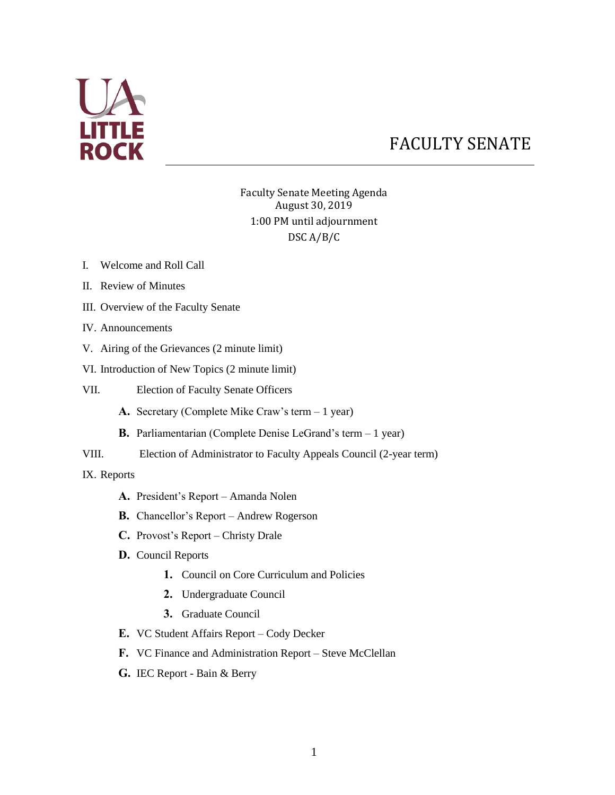

# FACULTY SENATE

Faculty Senate Meeting Agenda August 30, 2019 1:00 PM until adjournment DSC A/B/C

- I. Welcome and Roll Call
- II. Review of Minutes
- III. Overview of the Faculty Senate
- IV. Announcements
- V. Airing of the Grievances (2 minute limit)
- VI. Introduction of New Topics (2 minute limit)
- VII. Election of Faculty Senate Officers
	- **A.** Secretary (Complete Mike Craw's term 1 year)
	- **B.** Parliamentarian (Complete Denise LeGrand's term 1 year)
- VIII. Election of Administrator to Faculty Appeals Council (2-year term)

IX. Reports

- **A.** President's Report Amanda Nolen
- **B.** Chancellor's Report Andrew Rogerson
- **C.** Provost's Report Christy Drale
- **D.** Council Reports
	- **1.** Council on Core Curriculum and Policies
	- **2.** Undergraduate Council
	- **3.** Graduate Council
- **E.** VC Student Affairs Report Cody Decker
- **F.** VC Finance and Administration Report Steve McClellan
- **G.** IEC Report Bain & Berry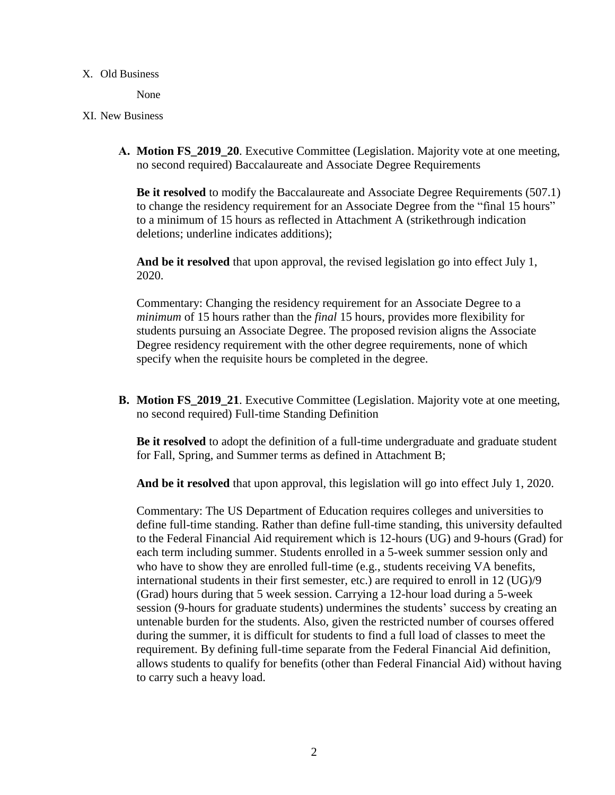#### X. Old Business

None

#### XI. New Business

**A. Motion FS\_2019\_20**. Executive Committee (Legislation. Majority vote at one meeting, no second required) Baccalaureate and Associate Degree Requirements

**Be it resolved** to modify the Baccalaureate and Associate Degree Requirements (507.1) to change the residency requirement for an Associate Degree from the "final 15 hours" to a minimum of 15 hours as reflected in Attachment A (strikethrough indication deletions; underline indicates additions);

**And be it resolved** that upon approval, the revised legislation go into effect July 1, 2020.

Commentary: Changing the residency requirement for an Associate Degree to a *minimum* of 15 hours rather than the *final* 15 hours, provides more flexibility for students pursuing an Associate Degree. The proposed revision aligns the Associate Degree residency requirement with the other degree requirements, none of which specify when the requisite hours be completed in the degree.

**B. Motion FS** 2019 21. Executive Committee (Legislation. Majority vote at one meeting, no second required) Full-time Standing Definition

**Be it resolved** to adopt the definition of a full-time undergraduate and graduate student for Fall, Spring, and Summer terms as defined in Attachment B;

**And be it resolved** that upon approval, this legislation will go into effect July 1, 2020.

Commentary: The US Department of Education requires colleges and universities to define full-time standing. Rather than define full-time standing, this university defaulted to the Federal Financial Aid requirement which is 12-hours (UG) and 9-hours (Grad) for each term including summer. Students enrolled in a 5-week summer session only and who have to show they are enrolled full-time (e.g., students receiving VA benefits, international students in their first semester, etc.) are required to enroll in 12 (UG)/9 (Grad) hours during that 5 week session. Carrying a 12-hour load during a 5-week session (9-hours for graduate students) undermines the students' success by creating an untenable burden for the students. Also, given the restricted number of courses offered during the summer, it is difficult for students to find a full load of classes to meet the requirement. By defining full-time separate from the Federal Financial Aid definition, allows students to qualify for benefits (other than Federal Financial Aid) without having to carry such a heavy load.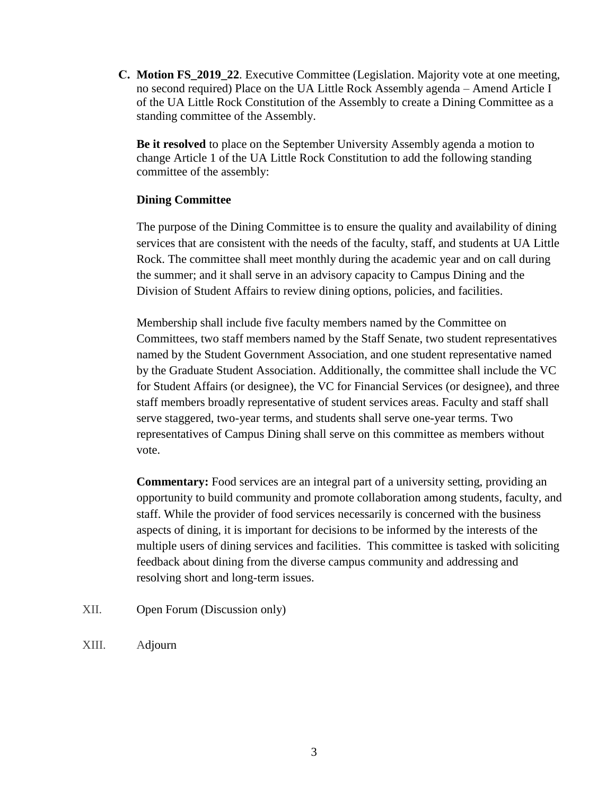**C. Motion FS\_2019\_22**. Executive Committee (Legislation. Majority vote at one meeting, no second required) Place on the UA Little Rock Assembly agenda – Amend Article I of the UA Little Rock Constitution of the Assembly to create a Dining Committee as a standing committee of the Assembly.

**Be it resolved** to place on the September University Assembly agenda a motion to change Article 1 of the UA Little Rock Constitution to add the following standing committee of the assembly:

#### **Dining Committee**

The purpose of the Dining Committee is to ensure the quality and availability of dining services that are consistent with the needs of the faculty, staff, and students at UA Little Rock. The committee shall meet monthly during the academic year and on call during the summer; and it shall serve in an advisory capacity to Campus Dining and the Division of Student Affairs to review dining options, policies, and facilities.

Membership shall include five faculty members named by the Committee on Committees, two staff members named by the Staff Senate, two student representatives named by the Student Government Association, and one student representative named by the Graduate Student Association. Additionally, the committee shall include the VC for Student Affairs (or designee), the VC for Financial Services (or designee), and three staff members broadly representative of student services areas. Faculty and staff shall serve staggered, two-year terms, and students shall serve one-year terms. Two representatives of Campus Dining shall serve on this committee as members without vote.

**Commentary:** Food services are an integral part of a university setting, providing an opportunity to build community and promote collaboration among students, faculty, and staff. While the provider of food services necessarily is concerned with the business aspects of dining, it is important for decisions to be informed by the interests of the multiple users of dining services and facilities. This committee is tasked with soliciting feedback about dining from the diverse campus community and addressing and resolving short and long-term issues.

- XII. Open Forum (Discussion only)
- XIII. Adjourn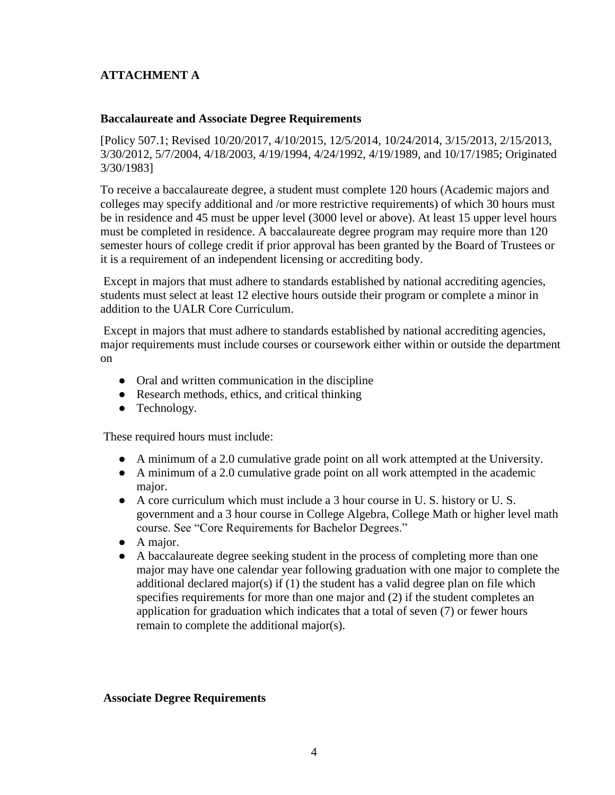# **ATTACHMENT A**

#### **Baccalaureate and Associate Degree Requirements**

[Policy 507.1; Revised 10/20/2017, 4/10/2015, 12/5/2014, 10/24/2014, 3/15/2013, 2/15/2013, 3/30/2012, 5/7/2004, 4/18/2003, 4/19/1994, 4/24/1992, 4/19/1989, and 10/17/1985; Originated 3/30/1983]

To receive a baccalaureate degree, a student must complete 120 hours (Academic majors and colleges may specify additional and /or more restrictive requirements) of which 30 hours must be in residence and 45 must be upper level (3000 level or above). At least 15 upper level hours must be completed in residence. A baccalaureate degree program may require more than 120 semester hours of college credit if prior approval has been granted by the Board of Trustees or it is a requirement of an independent licensing or accrediting body.

Except in majors that must adhere to standards established by national accrediting agencies, students must select at least 12 elective hours outside their program or complete a minor in addition to the UALR Core Curriculum.

Except in majors that must adhere to standards established by national accrediting agencies, major requirements must include courses or coursework either within or outside the department on

- Oral and written communication in the discipline
- Research methods, ethics, and critical thinking
- Technology.

These required hours must include:

- A minimum of a 2.0 cumulative grade point on all work attempted at the University.
- A minimum of a 2.0 cumulative grade point on all work attempted in the academic major.
- A core curriculum which must include a 3 hour course in U. S. history or U. S. government and a 3 hour course in College Algebra, College Math or higher level math course. See "Core Requirements for Bachelor Degrees."
- A major.
- A baccalaureate degree seeking student in the process of completing more than one major may have one calendar year following graduation with one major to complete the additional declared major(s) if (1) the student has a valid degree plan on file which specifies requirements for more than one major and (2) if the student completes an application for graduation which indicates that a total of seven (7) or fewer hours remain to complete the additional major(s).

**Associate Degree Requirements**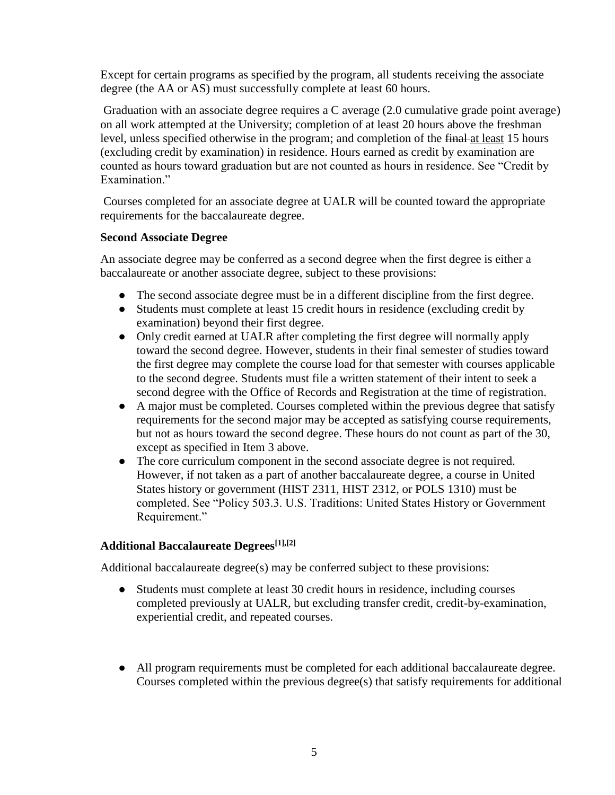Except for certain programs as specified by the program, all students receiving the associate degree (the AA or AS) must successfully complete at least 60 hours.

Graduation with an associate degree requires a C average (2.0 cumulative grade point average) on all work attempted at the University; completion of at least 20 hours above the freshman level, unless specified otherwise in the program; and completion of the final at least 15 hours (excluding credit by examination) in residence. Hours earned as credit by examination are counted as hours toward graduation but are not counted as hours in residence. See "Credit by Examination."

Courses completed for an associate degree at UALR will be counted toward the appropriate requirements for the baccalaureate degree.

#### **Second Associate Degree**

An associate degree may be conferred as a second degree when the first degree is either a baccalaureate or another associate degree, subject to these provisions:

- The second associate degree must be in a different discipline from the first degree.
- Students must complete at least 15 credit hours in residence (excluding credit by examination) beyond their first degree.
- Only credit earned at UALR after completing the first degree will normally apply toward the second degree. However, students in their final semester of studies toward the first degree may complete the course load for that semester with courses applicable to the second degree. Students must file a written statement of their intent to seek a second degree with the Office of Records and Registration at the time of registration.
- A major must be completed. Courses completed within the previous degree that satisfy requirements for the second major may be accepted as satisfying course requirements, but not as hours toward the second degree. These hours do not count as part of the 30, except as specified in Item 3 above.
- The core curriculum component in the second associate degree is not required. However, if not taken as a part of another baccalaureate degree, a course in United States history or government (HIST 2311, HIST 2312, or POLS 1310) must be completed. See "Policy 503.3. U.S. Traditions: United States History or Government Requirement."

### **Additional Baccalaureate Degrees[1],[2]**

Additional baccalaureate degree(s) may be conferred subject to these provisions:

- Students must complete at least 30 credit hours in residence, including courses completed previously at UALR, but excluding transfer credit, credit-by-examination, experiential credit, and repeated courses.
- All program requirements must be completed for each additional baccalaureate degree. Courses completed within the previous degree(s) that satisfy requirements for additional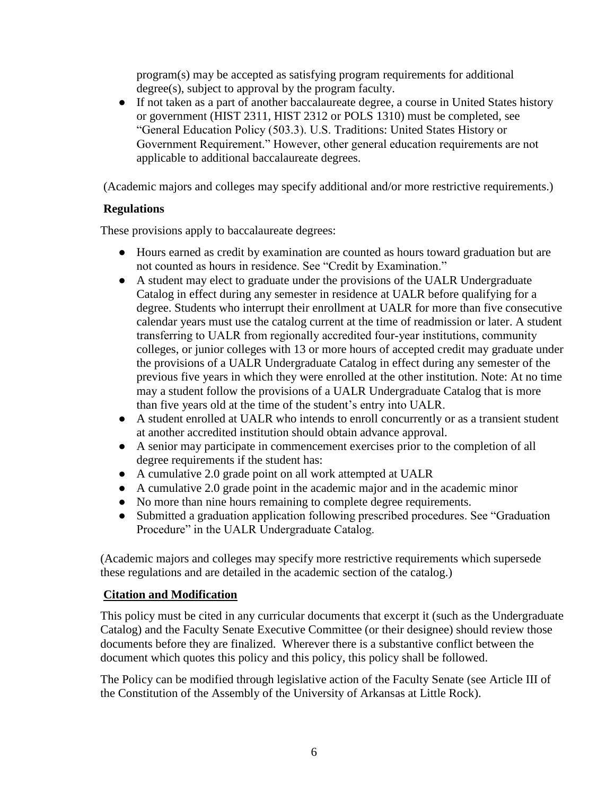program(s) may be accepted as satisfying program requirements for additional degree(s), subject to approval by the program faculty.

● If not taken as a part of another baccalaureate degree, a course in United States history or government (HIST 2311, HIST 2312 or POLS 1310) must be completed, see "General Education Policy (503.3). U.S. Traditions: United States History or Government Requirement." However, other general education requirements are not applicable to additional baccalaureate degrees.

(Academic majors and colleges may specify additional and/or more restrictive requirements.)

## **Regulations**

These provisions apply to baccalaureate degrees:

- Hours earned as credit by examination are counted as hours toward graduation but are not counted as hours in residence. See "Credit by Examination."
- A student may elect to graduate under the provisions of the UALR Undergraduate Catalog in effect during any semester in residence at UALR before qualifying for a degree. Students who interrupt their enrollment at UALR for more than five consecutive calendar years must use the catalog current at the time of readmission or later. A student transferring to UALR from regionally accredited four‐year institutions, community colleges, or junior colleges with 13 or more hours of accepted credit may graduate under the provisions of a UALR Undergraduate Catalog in effect during any semester of the previous five years in which they were enrolled at the other institution. Note: At no time may a student follow the provisions of a UALR Undergraduate Catalog that is more than five years old at the time of the student's entry into UALR.
- A student enrolled at UALR who intends to enroll concurrently or as a transient student at another accredited institution should obtain advance approval.
- A senior may participate in commencement exercises prior to the completion of all degree requirements if the student has:
- A cumulative 2.0 grade point on all work attempted at UALR
- A cumulative 2.0 grade point in the academic major and in the academic minor
- No more than nine hours remaining to complete degree requirements.
- Submitted a graduation application following prescribed procedures. See "Graduation Procedure" in the UALR Undergraduate Catalog.

(Academic majors and colleges may specify more restrictive requirements which supersede these regulations and are detailed in the academic section of the catalog.)

### **Citation and Modification**

This policy must be cited in any curricular documents that excerpt it (such as the Undergraduate Catalog) and the Faculty Senate Executive Committee (or their designee) should review those documents before they are finalized. Wherever there is a substantive conflict between the document which quotes this policy and this policy, this policy shall be followed.

The Policy can be modified through legislative action of the Faculty Senate (see Article III of the Constitution of the Assembly of the University of Arkansas at Little Rock).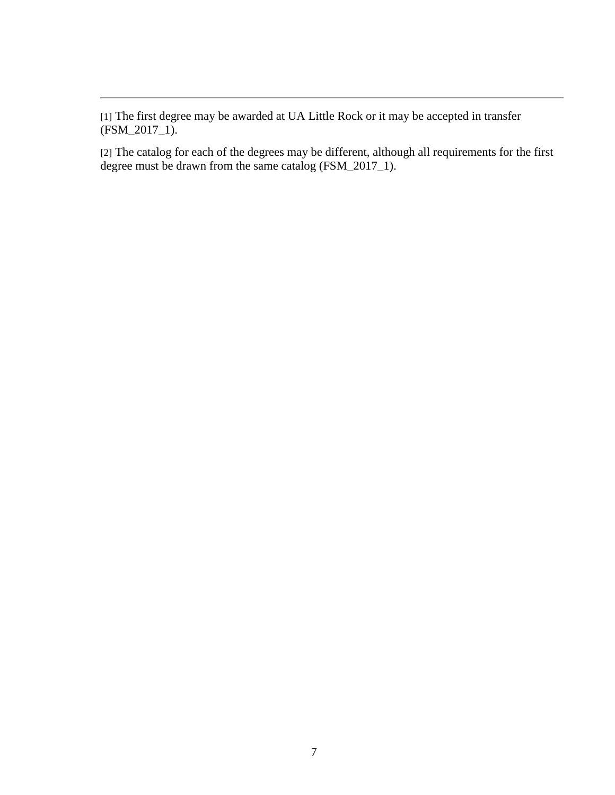[1] The first degree may be awarded at UA Little Rock or it may be accepted in transfer (FSM\_2017\_1).

[2] The catalog for each of the degrees may be different, although all requirements for the first degree must be drawn from the same catalog (FSM\_2017\_1).